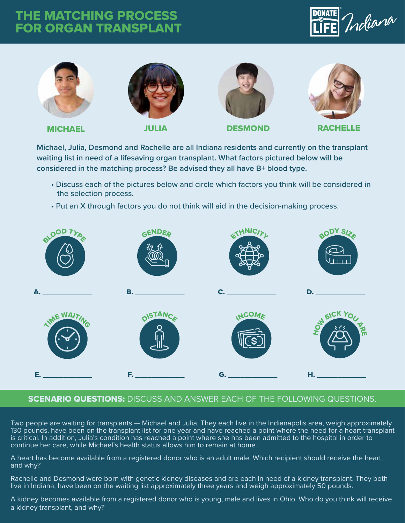## THE MATCHING PROCESS FOR ORGAN TRANSPLANT





**Michael, Julia, Desmond and Rachelle are all Indiana residents and currently on the transplant waiting list in need of a lifesaving organ transplant. What factors pictured below will be considered in the matching process? Be advised they all have B+ blood type.**

- Discuss each of the pictures below and circle which factors you think will be considered in the selection process.
- Put an X through factors you do not think will aid in the decision-making process.



## SCENARIO QUESTIONS: DISCUSS AND ANSWER EACH OF THE FOLLOWING QUESTIONS.

Two people are waiting for transplants — Michael and Julia. They each live in the Indianapolis area, weigh approximately 130 pounds, have been on the transplant list for one year and have reached a point where the need for a heart transplant is critical. In addition, Julia's condition has reached a point where she has been admitted to the hospital in order to continue her care, while Michael's health status allows him to remain at home.

A heart has become available from a registered donor who is an adult male. Which recipient should receive the heart, and why?

Rachelle and Desmond were born with genetic kidney diseases and are each in need of a kidney transplant. They both live in Indiana, have been on the waiting list approximately three years and weigh approximately 50 pounds.

A kidney becomes available from a registered donor who is young, male and lives in Ohio. Who do you think will receive a kidney transplant, and why?